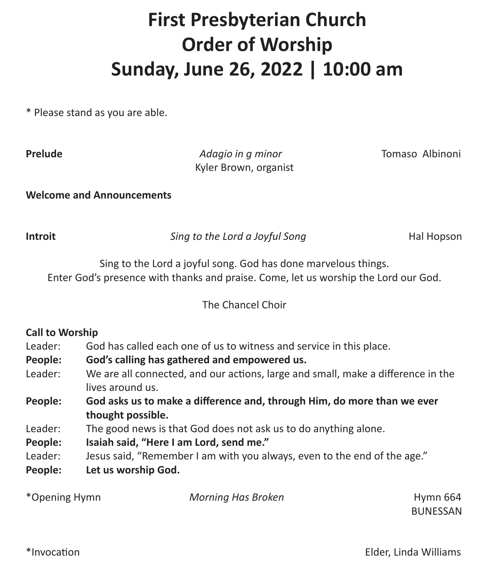# **First Presbyterian Church Order of Worship Sunday, June 26, 2022 | 10:00 am**

\* Please stand as you are able.

**Prelude** *Adagio in g minor* Tomaso Albinoni Kyler Brown, organist

**Welcome and Announcements** 

**Introit** *Sing to the Lord a Joyful Song* Hal Hopson

Sing to the Lord a joyful song. God has done marvelous things. Enter God's presence with thanks and praise. Come, let us worship the Lord our God.

### The Chancel Choir

## **Call to Worship**

- Leader: God has called each one of us to witness and service in this place.
- **People: God's calling has gathered and empowered us.**
- Leader: We are all connected, and our actions, large and small, make a difference in the lives around us.
- **People: God asks us to make a difference and, through Him, do more than we ever thought possible.**
- Leader: The good news is that God does not ask us to do anything alone.
- **People: Isaiah said, "Here I am Lord, send me."**
- Leader: Jesus said, "Remember I am with you always, even to the end of the age."
- **People: Let us worship God.**

| *Opening Hymn | <b>Morning Has Broken</b> | Hymn 664        |
|---------------|---------------------------|-----------------|
|               |                           | <b>DUNECCAN</b> |

BUNESSAN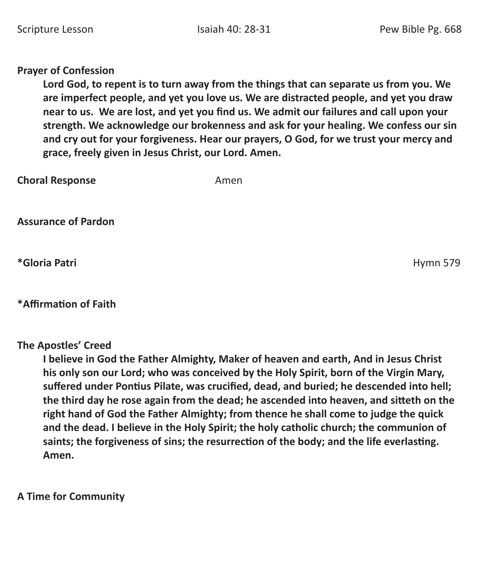### **Prayer of Confession**

**Lord God, to repent is to turn away from the things that can separate us from you. We are imperfect people, and yet you love us. We are distracted people, and yet you draw near to us. We are lost, and yet you find us. We admit our failures and call upon your strength. We acknowledge our brokenness and ask for your healing. We confess our sin and cry out for your forgiveness. Hear our prayers, O God, for we trust your mercy and grace, freely given in Jesus Christ, our Lord. Amen.** 

| <b>Choral Response</b>     | Amen |
|----------------------------|------|
| <b>Assurance of Pardon</b> |      |

**\*Gloria Patri** Hymn 579

# **\*Affirmation of Faith**

**The Apostles' Creed** 

**I believe in God the Father Almighty, Maker of heaven and earth, And in Jesus Christ his only son our Lord; who was conceived by the Holy Spirit, born of the Virgin Mary, suffered under Pontius Pilate, was crucified, dead, and buried; he descended into hell; the third day he rose again from the dead; he ascended into heaven, and sitteth on the right hand of God the Father Almighty; from thence he shall come to judge the quick and the dead. I believe in the Holy Spirit; the holy catholic church; the communion of saints; the forgiveness of sins; the resurrection of the body; and the life everlasting. Amen.** 

**A Time for Community**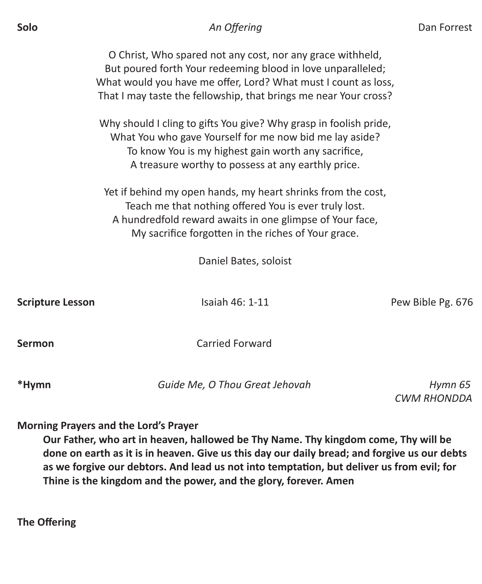O Christ, Who spared not any cost, nor any grace withheld, But poured forth Your redeeming blood in love unparalleled; What would you have me offer, Lord? What must I count as loss, That I may taste the fellowship, that brings me near Your cross?

Why should I cling to gifts You give? Why grasp in foolish pride, What You who gave Yourself for me now bid me lay aside? To know You is my highest gain worth any sacrifice, A treasure worthy to possess at any earthly price.

Yet if behind my open hands, my heart shrinks from the cost, Teach me that nothing offered You is ever truly lost. A hundredfold reward awaits in one glimpse of Your face, My sacrifice forgotten in the riches of Your grace.

Daniel Bates, soloist

**Scripture Lesson Isaiah 46: 1-11** Pew Bible Pg. 676

**Sermon** Carried Forward

**\*Hymn** *Guide Me, O Thou Great Jehovah Hymn 65* 

 *CWM RHONDDA* 

**Morning Prayers and the Lord's Prayer** 

**Our Father, who art in heaven, hallowed be Thy Name. Thy kingdom come, Thy will be done on earth as it is in heaven. Give us this day our daily bread; and forgive us our debts as we forgive our debtors. And lead us not into temptation, but deliver us from evil; for Thine is the kingdom and the power, and the glory, forever. Amen** 

**The Offering**